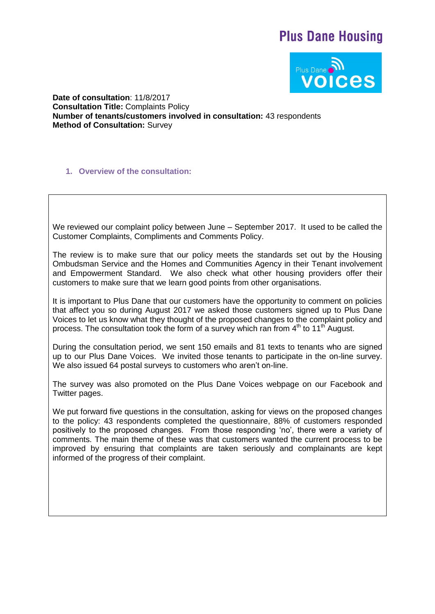# **Plus Dane Housing**



**Date of consultation**: 11/8/2017 **Consultation Title:** Complaints Policy **Number of tenants/customers involved in consultation:** 43 respondents **Method of Consultation:** Survey

**1. Overview of the consultation:**

We reviewed our complaint policy between June – September 2017. It used to be called the Customer Complaints, Compliments and Comments Policy.

The review is to make sure that our policy meets the standards set out by the Housing Ombudsman Service and the Homes and Communities Agency in their Tenant involvement and Empowerment Standard. We also check what other housing providers offer their customers to make sure that we learn good points from other organisations.

It is important to Plus Dane that our customers have the opportunity to comment on policies that affect you so during August 2017 we asked those customers signed up to Plus Dane Voices to let us know what they thought of the proposed changes to the complaint policy and process. The consultation took the form of a survey which ran from  $4<sup>th</sup>$  to  $11<sup>th</sup>$  August.

During the consultation period, we sent 150 emails and 81 texts to tenants who are signed up to our Plus Dane Voices. We invited those tenants to participate in the on-line survey. We also issued 64 postal surveys to customers who aren't on-line.

The survey was also promoted on the Plus Dane Voices webpage on our Facebook and Twitter pages.

We put forward five questions in the consultation, asking for views on the proposed changes to the policy: 43 respondents completed the questionnaire, 88% of customers responded positively to the proposed changes. From those responding 'no', there were a variety of comments. The main theme of these was that customers wanted the current process to be improved by ensuring that complaints are taken seriously and complainants are kept informed of the progress of their complaint.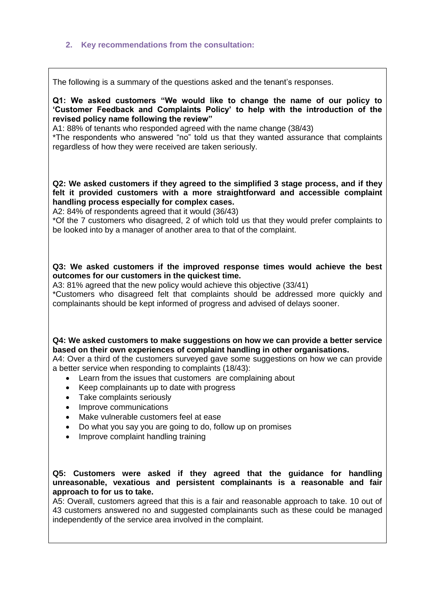### **2. Key recommendations from the consultation:**

The following is a summary of the questions asked and the tenant's responses.

**Q1: We asked customers "We would like to change the name of our policy to 'Customer Feedback and Complaints Policy' to help with the introduction of the revised policy name following the review"**

A1: 88% of tenants who responded agreed with the name change (38/43)

\*The respondents who answered "no" told us that they wanted assurance that complaints regardless of how they were received are taken seriously.

**Q2: We asked customers if they agreed to the simplified 3 stage process, and if they felt it provided customers with a more straightforward and accessible complaint handling process especially for complex cases.**

A2: 84% of respondents agreed that it would (36/43)

\*Of the 7 customers who disagreed, 2 of which told us that they would prefer complaints to be looked into by a manager of another area to that of the complaint.

## **Q3: We asked customers if the improved response times would achieve the best outcomes for our customers in the quickest time.**

A3: 81% agreed that the new policy would achieve this objective (33/41)

\*Customers who disagreed felt that complaints should be addressed more quickly and complainants should be kept informed of progress and advised of delays sooner.

## **Q4: We asked customers to make suggestions on how we can provide a better service based on their own experiences of complaint handling in other organisations.**

A4: Over a third of the customers surveyed gave some suggestions on how we can provide a better service when responding to complaints (18/43):

- Learn from the issues that customers are complaining about
- Keep complainants up to date with progress
- Take complaints seriously
- Improve communications
- Make vulnerable customers feel at ease
- Do what you say you are going to do, follow up on promises
- Improve complaint handling training

### **Q5: Customers were asked if they agreed that the guidance for handling unreasonable, vexatious and persistent complainants is a reasonable and fair approach to for us to take.**

A5: Overall, customers agreed that this is a fair and reasonable approach to take. 10 out of 43 customers answered no and suggested complainants such as these could be managed independently of the service area involved in the complaint.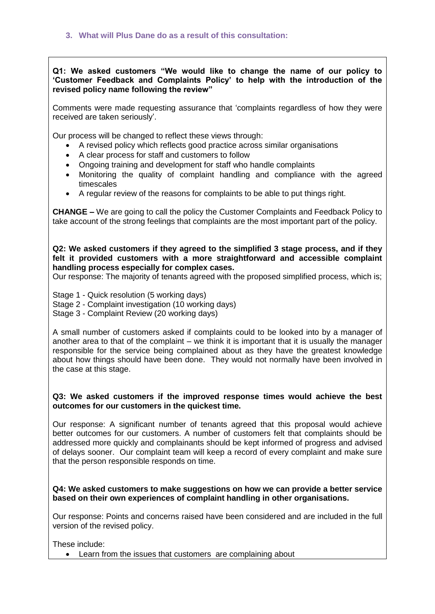**Q1: We asked customers "We would like to change the name of our policy to 'Customer Feedback and Complaints Policy' to help with the introduction of the revised policy name following the review"**

Comments were made requesting assurance that 'complaints regardless of how they were received are taken seriously'.

Our process will be changed to reflect these views through:

- A revised policy which reflects good practice across similar organisations
- A clear process for staff and customers to follow
- Ongoing training and development for staff who handle complaints
- Monitoring the quality of complaint handling and compliance with the agreed timescales
- A regular review of the reasons for complaints to be able to put things right.

**CHANGE –** We are going to call the policy the Customer Complaints and Feedback Policy to take account of the strong feelings that complaints are the most important part of the policy.

**Q2: We asked customers if they agreed to the simplified 3 stage process, and if they felt it provided customers with a more straightforward and accessible complaint handling process especially for complex cases.**

Our response: The majority of tenants agreed with the proposed simplified process, which is;

Stage 1 - Quick resolution (5 working days)

Stage 2 - Complaint investigation (10 working days)

Stage 3 - Complaint Review (20 working days)

A small number of customers asked if complaints could to be looked into by a manager of another area to that of the complaint – we think it is important that it is usually the manager responsible for the service being complained about as they have the greatest knowledge about how things should have been done. They would not normally have been involved in the case at this stage.

#### **Q3: We asked customers if the improved response times would achieve the best outcomes for our customers in the quickest time.**

Our response: A significant number of tenants agreed that this proposal would achieve better outcomes for our customers. A number of customers felt that complaints should be addressed more quickly and complainants should be kept informed of progress and advised of delays sooner. Our complaint team will keep a record of every complaint and make sure that the person responsible responds on time.

**Q4: We asked customers to make suggestions on how we can provide a better service based on their own experiences of complaint handling in other organisations.**

Our response: Points and concerns raised have been considered and are included in the full version of the revised policy.

These include:

Learn from the issues that customers are complaining about